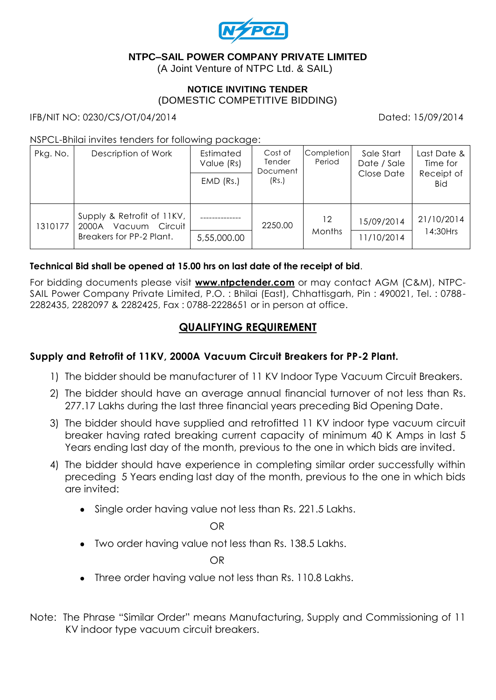

## **NTPC–SAIL POWER COMPANY PRIVATE LIMITED**

(A Joint Venture of NTPC Ltd. & SAIL)

#### **NOTICE INVITING TENDER** (DOMESTIC COMPETITIVE BIDDING)

IFB/NIT NO: 0230/CS/OT/04/2014 Dated: 15/09/2014

### NSPCL-Bhilai invites tenders for following package:

| Pkg. No. | Description of Work                                                                  | Estimated<br>Value (Rs)<br>$EMD$ (Rs.) | Cost of<br>Tender<br>Document<br>(Rs.) | <b>Completion</b><br>Period | Sale Start<br>Date / Sale<br>Close Date | Last Date &<br>Time for<br>Receipt of<br><b>Bid</b> |
|----------|--------------------------------------------------------------------------------------|----------------------------------------|----------------------------------------|-----------------------------|-----------------------------------------|-----------------------------------------------------|
| 1310177  | Supply & Retrofit of 11KV,<br>Vacuum<br>Circuit<br>2000A<br>Breakers for PP-2 Plant. | 5,55,000.00                            | 2250.00                                | 12<br>Months                | 15/09/2014<br>11/10/2014                | 21/10/2014<br>14:30Hrs                              |

### **Technical Bid shall be opened at 15.00 hrs on last date of the receipt of bid**.

For bidding documents please visit **www.ntpctender.com** or may contact AGM (C&M), NTPC-SAIL Power Company Private Limited, P.O. : Bhilai (East), Chhattisgarh, Pin : 490021, Tel. : 0788- 2282435, 2282097 & 2282425, Fax : 0788-2228651 or in person at office.

## **QUALIFYING REQUIREMENT**

### **Supply and Retrofit of 11KV, 2000A Vacuum Circuit Breakers for PP-2 Plant.**

- 1) The bidder should be manufacturer of 11 KV Indoor Type Vacuum Circuit Breakers.
- 2) The bidder should have an average annual financial turnover of not less than Rs. 277.17 Lakhs during the last three financial years preceding Bid Opening Date.
- 3) The bidder should have supplied and retrofitted 11 KV indoor type vacuum circuit breaker having rated breaking current capacity of minimum 40 K Amps in last 5 Years ending last day of the month, previous to the one in which bids are invited.
- 4) The bidder should have experience in completing similar order successfully within preceding 5 Years ending last day of the month, previous to the one in which bids are invited:
	- Single order having value not less than Rs. 221.5 Lakhs.

OR

Two order having value not less than Rs. 138.5 Lakhs.

OR

- Three order having value not less than Rs. 110.8 Lakhs.
- Note: The Phrase "Similar Order" means Manufacturing, Supply and Commissioning of 11 KV indoor type vacuum circuit breakers.